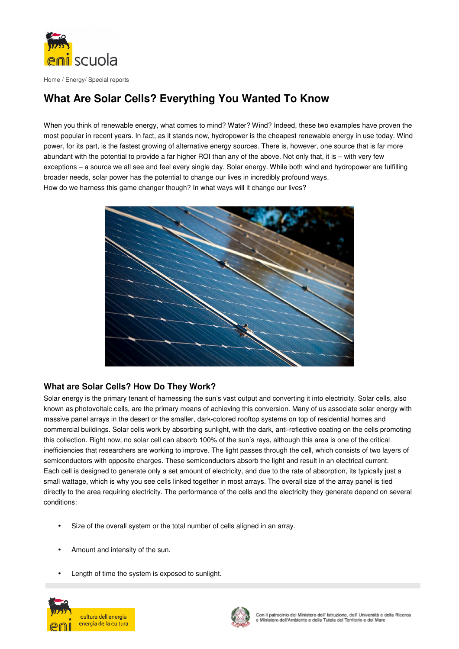

# **What Are Solar Cells? Everything You Wanted To Know**

When you think of renewable energy, what comes to mind? Water? Wind? Indeed, these two examples have proven the most popular in recent years. In fact, as it stands now, hydropower is the cheapest renewable energy in use today. Wind power, for its part, is the fastest growing of alternative energy sources. There is, however, one source that is far more abundant with the potential to provide a far higher ROI than any of the above. Not only that, it is – with very few exceptions – a source we all see and feel every single day. Solar energy. While both wind and hydropower are fulfilling broader needs, solar power has the potential to change our lives in incredibly profound ways. How do we harness this game changer though? In what ways will it change our lives?



# **What are Solar Cells? How Do They Work?**

Solar energy is the primary tenant of harnessing the sun's vast output and converting it into electricity. Solar cells, also known as photovoltaic cells, are the primary means of achieving this conversion. Many of us associate solar energy with massive panel arrays in the desert or the smaller, dark-colored rooftop systems on top of residential homes and commercial buildings. Solar cells work by absorbing sunlight, with the dark, anti-reflective coating on the cells promoting this collection. Right now, no solar cell can absorb 100% of the sun's rays, although this area is one of the critical inefficiencies that researchers are working to improve. The light passes through the cell, which consists of two layers of semiconductors with opposite charges. These semiconductors absorb the light and result in an electrical current. Each cell is designed to generate only a set amount of electricity, and due to the rate of absorption, its typically just a small wattage, which is why you see cells linked together in most arrays. The overall size of the array panel is tied directly to the area requiring electricity. The performance of the cells and the electricity they generate depend on several conditions:

- Size of the overall system or the total number of cells aligned in an array.
- Amount and intensity of the sun.
- Length of time the system is exposed to sunlight.



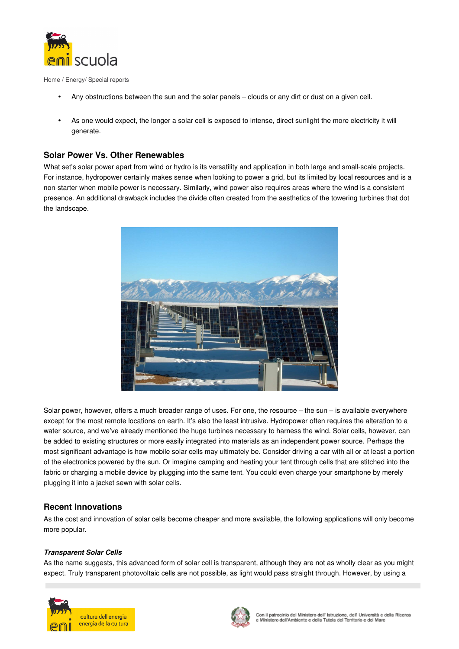

- Any obstructions between the sun and the solar panels clouds or any dirt or dust on a given cell.
- As one would expect, the longer a solar cell is exposed to intense, direct sunlight the more electricity it will generate.

# **Solar Power Vs. Other Renewables**

What set's solar power apart from wind or hydro is its versatility and application in both large and small-scale projects. For instance, hydropower certainly makes sense when looking to power a grid, but its limited by local resources and is a non-starter when mobile power is necessary. Similarly, wind power also requires areas where the wind is a consistent presence. An additional drawback includes the divide often created from the aesthetics of the towering turbines that dot the landscape.



Solar power, however, offers a much broader range of uses. For one, the resource – the sun – is available everywhere except for the most remote locations on earth. It's also the least intrusive. Hydropower often requires the alteration to a water source, and we've already mentioned the huge turbines necessary to harness the wind. Solar cells, however, can be added to existing structures or more easily integrated into materials as an independent power source. Perhaps the most significant advantage is how mobile solar cells may ultimately be. Consider driving a car with all or at least a portion of the electronics powered by the sun. Or imagine camping and heating your tent through cells that are stitched into the fabric or charging a mobile device by plugging into the same tent. You could even charge your smartphone by merely plugging it into a jacket sewn with solar cells.

## **Recent Innovations**

As the cost and innovation of solar cells become cheaper and more available, the following applications will only become more popular.

### **Transparent Solar Cells**

As the name suggests, this advanced form of solar cell is transparent, although they are not as wholly clear as you might expect. Truly transparent photovoltaic cells are not possible, as light would pass straight through. However, by using a



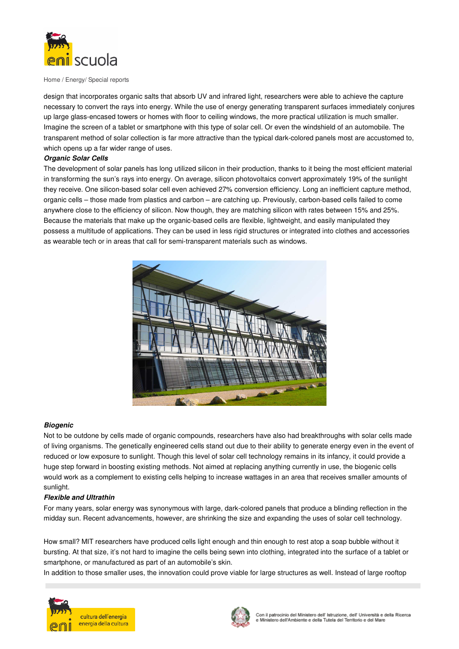

design that incorporates organic salts that absorb UV and infrared light, researchers were able to achieve the capture necessary to convert the rays into energy. While the use of energy generating transparent surfaces immediately conjures up large glass-encased towers or homes with floor to ceiling windows, the more practical utilization is much smaller. Imagine the screen of a tablet or smartphone with this type of solar cell. Or even the windshield of an automobile. The transparent method of solar collection is far more attractive than the typical dark-colored panels most are accustomed to, which opens up a far wider range of uses.

#### **Organic Solar Cells**

The development of solar panels has long utilized silicon in their production, thanks to it being the most efficient material in transforming the sun's rays into energy. On average, silicon photovoltaics convert approximately 19% of the sunlight they receive. One silicon-based solar cell even achieved 27% conversion efficiency. Long an inefficient capture method, organic cells – those made from plastics and carbon – are catching up. Previously, carbon-based cells failed to come anywhere close to the efficiency of silicon. Now though, they are matching silicon with rates between 15% and 25%. Because the materials that make up the organic-based cells are flexible, lightweight, and easily manipulated they possess a multitude of applications. They can be used in less rigid structures or integrated into clothes and accessories as wearable tech or in areas that call for semi-transparent materials such as windows.



#### **Biogenic**

Not to be outdone by cells made of organic compounds, researchers have also had breakthroughs with solar cells made of living organisms. The genetically engineered cells stand out due to their ability to generate energy even in the event of reduced or low exposure to sunlight. Though this level of solar cell technology remains in its infancy, it could provide a huge step forward in boosting existing methods. Not aimed at replacing anything currently in use, the biogenic cells would work as a complement to existing cells helping to increase wattages in an area that receives smaller amounts of sunlight.

#### **Flexible and Ultrathin**

For many years, solar energy was synonymous with large, dark-colored panels that produce a blinding reflection in the midday sun. Recent advancements, however, are shrinking the size and expanding the uses of solar cell technology.

How small? MIT researchers have produced cells light enough and thin enough to rest atop a soap bubble without it bursting. At that size, it's not hard to imagine the cells being sewn into clothing, integrated into the surface of a tablet or smartphone, or manufactured as part of an automobile's skin.

In addition to those smaller uses, the innovation could prove viable for large structures as well. Instead of large rooftop